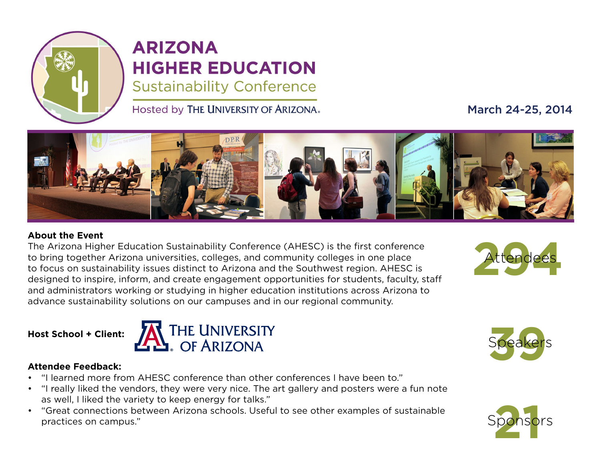

## **ARIZONA HIGHER EDUCATION Sustainability Conference**

Hosted by THE UNIVERSITY OF ARIZONA.

March 24-25, 2014



#### **About the Event**

The Arizona Higher Education Sustainability Conference (AHESC) is the first conference to bring together Arizona universities, colleges, and community colleges in one place to focus on sustainability issues distinct to Arizona and the Southwest region. AHESC is designed to inspire, inform, and create engagement opportunities for students, faculty, staff and administrators working or studying in higher education institutions across Arizona to advance sustainability solutions on our campuses and in our regional community.

#### **Host School + Client:**



#### **Attendee Feedback:**

- "I learned more from AHESC conference than other conferences I have been to."
- "I really liked the vendors, they were very nice. The art gallery and posters were a fun note as well, I liked the variety to keep energy for talks."
- • "Great connections between Arizona schools. Useful to see other examples of sustainable practices on campus."